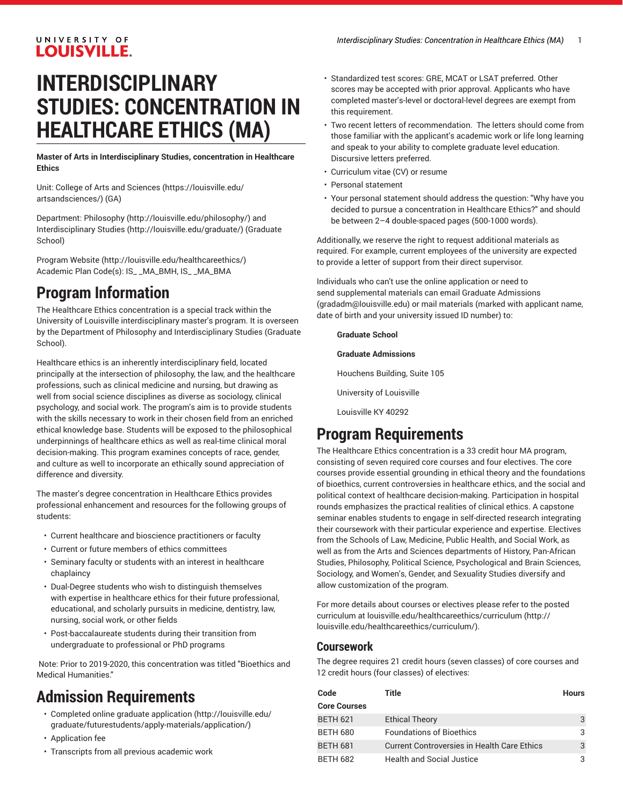### UNIVERSITY OF **LOUISVILLE.**

# **INTERDISCIPLINARY STUDIES: CONCENTRATION IN HEALTHCARE ETHICS (MA)**

**Master of Arts in Interdisciplinary Studies, concentration in Healthcare Ethics** 

Unit: College of Arts and [Sciences \(https://louisville.edu/](https://louisville.edu/artsandsciences/) [artsandsciences/\)](https://louisville.edu/artsandsciences/) (GA)

Department: [Philosophy \(http://louisville.edu/philosophy/\)](http://louisville.edu/philosophy/) and [Interdisciplinary](http://louisville.edu/graduate/) Studies ([http://louisville.edu/graduate/\)](http://louisville.edu/graduate/) (Graduate School)

[Program](http://louisville.edu/healthcareethics/) Website [\(http://louisville.edu/healthcareethics/](http://louisville.edu/healthcareethics/)) Academic Plan Code(s): IS\_ \_MA\_BMH, IS\_ \_MA\_BMA

### **Program Information**

The Healthcare Ethics concentration is a special track within the University of Louisville interdisciplinary master's program. It is overseen by the Department of Philosophy and Interdisciplinary Studies (Graduate School).

Healthcare ethics is an inherently interdisciplinary field, located principally at the intersection of philosophy, the law, and the healthcare professions, such as clinical medicine and nursing, but drawing as well from social science disciplines as diverse as sociology, clinical psychology, and social work. The program's aim is to provide students with the skills necessary to work in their chosen field from an enriched ethical knowledge base. Students will be exposed to the philosophical underpinnings of healthcare ethics as well as real-time clinical moral decision-making. This program examines concepts of race, gender, and culture as well to incorporate an ethically sound appreciation of difference and diversity.

The master's degree concentration in Healthcare Ethics provides professional enhancement and resources for the following groups of students:

- Current healthcare and bioscience practitioners or faculty
- Current or future members of ethics committees
- Seminary faculty or students with an interest in healthcare chaplaincy
- Dual-Degree students who wish to distinguish themselves with expertise in healthcare ethics for their future professional, educational, and scholarly pursuits in medicine, dentistry, law, nursing, social work, or other fields
- Post-baccalaureate students during their transition from undergraduate to professional or PhD programs

 Note: Prior to 2019-2020, this concentration was titled "Bioethics and Medical Humanities."

## **Admission Requirements**

- Completed online [graduate application \(http://louisville.edu/](http://louisville.edu/graduate/futurestudents/apply-materials/application/) [graduate/futurestudents/apply-materials/application/](http://louisville.edu/graduate/futurestudents/apply-materials/application/))
- Application fee
- Transcripts from all previous academic work
- Standardized test scores: GRE, MCAT or LSAT preferred. Other scores may be accepted with prior approval. Applicants who have completed master's-level or doctoral-level degrees are exempt from this requirement.
- Two recent letters of recommendation. The letters should come from those familiar with the applicant's academic work or life long learning and speak to your ability to complete graduate level education. Discursive letters preferred.
- Curriculum vitae (CV) or resume
- Personal statement
- Your personal statement should address the question: "Why have you decided to pursue a concentration in Healthcare Ethics?" and should be between 2–4 double-spaced pages (500-1000 words).

Additionally, we reserve the right to request additional materials as required. For example, current employees of the university are expected to provide a letter of support from their direct supervisor.

Individuals who can't use the online application or need to send supplemental materials can email [Graduate Admissions](mailto:gradadm@louisville.edu) [\(gradadm@louisville.edu](gradadm@louisville.edu)) or mail materials (marked with applicant name, date of birth and your university issued ID number) to:

**Graduate School**

**Graduate Admissions**

Houchens Building, Suite 105

University of Louisville

Louisville KY 40292

### **Program Requirements**

The Healthcare Ethics concentration is a 33 credit hour MA program, consisting of seven required core courses and four electives. The core courses provide essential grounding in ethical theory and the foundations of bioethics, current controversies in healthcare ethics, and the social and political context of healthcare decision-making. Participation in hospital rounds emphasizes the practical realities of clinical ethics. A capstone seminar enables students to engage in self-directed research integrating their coursework with their particular experience and expertise. Electives from the Schools of Law, Medicine, Public Health, and Social Work, as well as from the Arts and Sciences departments of History, Pan-African Studies, Philosophy, Political Science, Psychological and Brain Sciences, Sociology, and Women's, Gender, and Sexuality Studies diversify and allow customization of the program.

For more details about courses or electives please refer to the posted curriculum at [louisville.edu/healthcareethics/curriculum](http://louisville.edu/healthcareethics/curriculum/) ([http://](http://louisville.edu/healthcareethics/curriculum/) [louisville.edu/healthcareethics/curriculum/\)](http://louisville.edu/healthcareethics/curriculum/).

### **Coursework**

The degree requires 21 credit hours (seven classes) of core courses and 12 credit hours (four classes) of electives:

| Code                | Title                                              | <b>Hours</b> |
|---------------------|----------------------------------------------------|--------------|
| <b>Core Courses</b> |                                                    |              |
| <b>BETH 621</b>     | <b>Ethical Theory</b>                              | 3            |
| <b>BETH 680</b>     | <b>Foundations of Bioethics</b>                    |              |
| <b>BETH 681</b>     | <b>Current Controversies in Health Care Ethics</b> | 3            |
| <b>BFTH 682</b>     | <b>Health and Social Justice</b>                   |              |